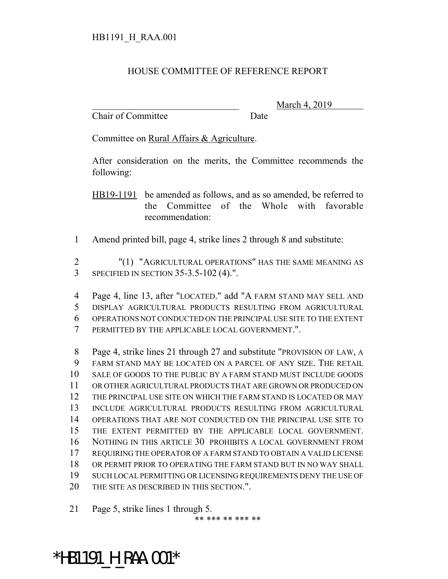## HOUSE COMMITTEE OF REFERENCE REPORT

Chair of Committee Date

March 4, 2019

Committee on Rural Affairs & Agriculture.

After consideration on the merits, the Committee recommends the following:

HB19-1191 be amended as follows, and as so amended, be referred to the Committee of the Whole with favorable recommendation:

Amend printed bill, page 4, strike lines 2 through 8 and substitute:

 "(1) "AGRICULTURAL OPERATIONS" HAS THE SAME MEANING AS SPECIFIED IN SECTION 35-3.5-102 (4).".

 Page 4, line 13, after "LOCATED." add "A FARM STAND MAY SELL AND DISPLAY AGRICULTURAL PRODUCTS RESULTING FROM AGRICULTURAL OPERATIONS NOT CONDUCTED ON THE PRINCIPAL USE SITE TO THE EXTENT PERMITTED BY THE APPLICABLE LOCAL GOVERNMENT.".

 Page 4, strike lines 21 through 27 and substitute "PROVISION OF LAW, A FARM STAND MAY BE LOCATED ON A PARCEL OF ANY SIZE. THE RETAIL SALE OF GOODS TO THE PUBLIC BY A FARM STAND MUST INCLUDE GOODS OR OTHER AGRICULTURAL PRODUCTS THAT ARE GROWN OR PRODUCED ON THE PRINCIPAL USE SITE ON WHICH THE FARM STAND IS LOCATED OR MAY INCLUDE AGRICULTURAL PRODUCTS RESULTING FROM AGRICULTURAL OPERATIONS THAT ARE NOT CONDUCTED ON THE PRINCIPAL USE SITE TO THE EXTENT PERMITTED BY THE APPLICABLE LOCAL GOVERNMENT. NOTHING IN THIS ARTICLE 30 PROHIBITS A LOCAL GOVERNMENT FROM REQUIRING THE OPERATOR OF A FARM STAND TO OBTAIN A VALID LICENSE OR PERMIT PRIOR TO OPERATING THE FARM STAND BUT IN NO WAY SHALL SUCH LOCAL PERMITTING OR LICENSING REQUIREMENTS DENY THE USE OF 20 THE SITE AS DESCRIBED IN THIS SECTION.".

Page 5, strike lines 1 through 5.

\*\* \*\*\* \*\* \*\*\* \*\*

\*HB1191\_H\_RAA.001\*